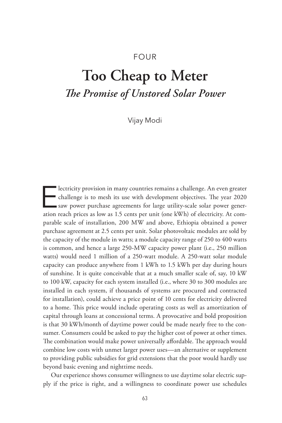# FOUR

# **Too Cheap to Meter** *The Promise of Unstored Solar Power*

Vijay Modi

Electricity provision in many countries remains a challenge. An even greater<br>challenge is to mesh its use with development objectives. The year 2020<br>saw power purchase agreements for large utility-scale solar power gener-<br> challenge is to mesh its use with development objectives. The year 2020 saw power purchase agreements for large utility-scale solar power generation reach prices as low as 1.5 cents per unit (one kWh) of electricity. At comparable scale of installation, 200 MW and above, Ethiopia obtained a power purchase agreement at 2.5 cents per unit. Solar photovoltaic modules are sold by the capacity of the module in watts; a module capacity range of 250 to 400 watts is common, and hence a large 250-MW capacity power plant (i.e., 250 million watts) would need 1 million of a 250-watt module. A 250-watt solar module capacity can produce anywhere from 1 kWh to 1.5 kWh per day during hours of sunshine. It is quite conceivable that at a much smaller scale of, say, 10 kW to 100 kW, capacity for each system installed (i.e., where 30 to 300 modules are installed in each system, if thousands of systems are procured and contracted for installation), could achieve a price point of 10 cents for electricity delivered to a home. This price would include operating costs as well as amortization of capital through loans at concessional terms. A provocative and bold proposition is that 30 kWh/month of daytime power could be made nearly free to the consumer. Consumers could be asked to pay the higher cost of power at other times. The combination would make power universally affordable. The approach would combine low costs with unmet larger power uses—an alternative or supplement to providing public subsidies for grid extensions that the poor would hardly use beyond basic evening and nighttime needs.

Our experience shows consumer willingness to use daytime solar electric supply if the price is right, and a willingness to coordinate power use schedules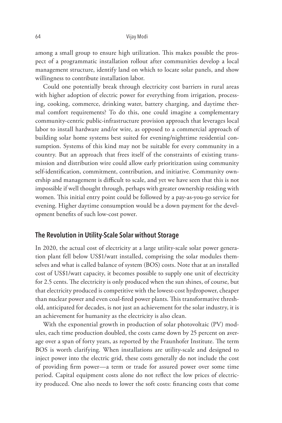among a small group to ensure high utilization. This makes possible the prospect of a programmatic installation rollout after communities develop a local management structure, identify land on which to locate solar panels, and show willingness to contribute installation labor.

Could one potentially break through electricity cost barriers in rural areas with higher adoption of electric power for everything from irrigation, processing, cooking, commerce, drinking water, battery charging, and daytime thermal comfort requirements? To do this, one could imagine a complementary community-centric public-infrastructure provision approach that leverages local labor to install hardware and/or wire, as opposed to a commercial approach of building solar home systems best suited for evening/nighttime residential consumption. Systems of this kind may not be suitable for every community in a country. But an approach that frees itself of the constraints of existing transmission and distribution wire could allow early prioritization using community self-identification, commitment, contribution, and initiative. Community ownership and management is difficult to scale, and yet we have seen that this is not impossible if well thought through, perhaps with greater ownership residing with women. This initial entry point could be followed by a pay-as-you-go service for evening. Higher daytime consumption would be a down payment for the development benefits of such low-cost power.

## **The Revolution in Utility-Scale Solar without Storage**

In 2020, the actual cost of electricity at a large utility-scale solar power generation plant fell below US\$1/watt installed, comprising the solar modules themselves and what is called balance of system (BOS) costs. Note that at an installed cost of US\$1/watt capacity, it becomes possible to supply one unit of electricity for 2.5 cents. The electricity is only produced when the sun shines, of course, but that electricity produced is competitive with the lowest-cost hydropower, cheaper than nuclear power and even coal-fired power plants. This transformative threshold, anticipated for decades, is not just an achievement for the solar industry, it is an achievement for humanity as the electricity is also clean.

With the exponential growth in production of solar photovoltaic (PV) modules, each time production doubled, the costs came down by 25 percent on average over a span of forty years, as reported by the Fraunhofer Institute. The term BOS is worth clarifying. When installations are utility-scale and designed to inject power into the electric grid, these costs generally do not include the cost of providing firm power—a term or trade for assured power over some time period. Capital equipment costs alone do not reflect the low prices of electricity produced. One also needs to lower the soft costs: financing costs that come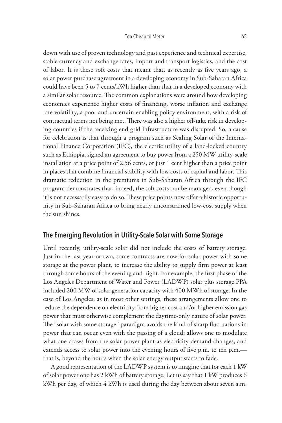down with use of proven technology and past experience and technical expertise, stable currency and exchange rates, import and transport logistics, and the cost of labor. It is these soft costs that meant that, as recently as five years ago, a solar power purchase agreement in a developing economy in Sub-Saharan Africa could have been 5 to 7 cents/kWh higher than that in a developed economy with a similar solar resource. The common explanations were around how developing economies experience higher costs of financing, worse inflation and exchange rate volatility, a poor and uncertain enabling policy environment, with a risk of contractual terms not being met. There was also a higher off-take risk in developing countries if the receiving end grid infrastructure was disrupted. So, a cause for celebration is that through a program such as Scaling Solar of the International Finance Corporation (IFC), the electric utility of a land-locked country such as Ethiopia, signed an agreement to buy power from a 250 MW utility-scale installation at a price point of 2.56 cents, or just 1 cent higher than a price point in places that combine financial stability with low costs of capital and labor. This dramatic reduction in the premiums in Sub-Saharan Africa through the IFC program demonstrates that, indeed, the soft costs can be managed, even though it is not necessarily easy to do so. These price points now offer a historic opportunity in Sub-Saharan Africa to bring nearly unconstrained low-cost supply when the sun shines.

## **The Emerging Revolution in Utility-Scale Solar with Some Storage**

Until recently, utility-scale solar did not include the costs of battery storage. Just in the last year or two, some contracts are now for solar power with some storage at the power plant, to increase the ability to supply firm power at least through some hours of the evening and night. For example, the first phase of the Los Angeles Department of Water and Power (LADWP) solar plus storage PPA included 200 MW of solar generation capacity with 400 MWh of storage. In the case of Los Angeles, as in most other settings, these arrangements allow one to reduce the dependence on electricity from higher cost and/or higher emission gas power that must otherwise complement the daytime-only nature of solar power. The "solar with some storage" paradigm avoids the kind of sharp fluctuations in power that can occur even with the passing of a cloud; allows one to modulate what one draws from the solar power plant as electricity demand changes; and extends access to solar power into the evening hours of five p.m. to ten p.m. that is, beyond the hours when the solar energy output starts to fade.

A good representation of the LADWP system is to imagine that for each 1 kW of solar power one has 2 kWh of battery storage. Let us say that 1 kW produces 6 kWh per day, of which 4 kWh is used during the day between about seven a.m.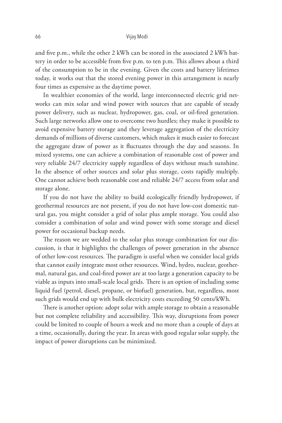and five p.m., while the other 2 kWh can be stored in the associated 2 kWh battery in order to be accessible from five p.m. to ten p.m. This allows about a third of the consumption to be in the evening. Given the costs and battery lifetimes today, it works out that the stored evening power in this arrangement is nearly four times as expensive as the daytime power.

In wealthier economies of the world, large interconnected electric grid networks can mix solar and wind power with sources that are capable of steady power delivery, such as nuclear, hydropower, gas, coal, or oil-fired generation. Such large networks allow one to overcome two hurdles; they make it possible to avoid expensive battery storage and they leverage aggregation of the electricity demands of millions of diverse customers, which makes it much easier to forecast the aggregate draw of power as it fluctuates through the day and seasons. In mixed systems, one can achieve a combination of reasonable cost of power and very reliable 24/7 electricity supply regardless of days without much sunshine. In the absence of other sources and solar plus storage, costs rapidly multiply. One cannot achieve both reasonable cost and reliable 24/7 access from solar and storage alone.

If you do not have the ability to build ecologically friendly hydropower, if geothermal resources are not present, if you do not have low-cost domestic natural gas, you might consider a grid of solar plus ample storage. You could also consider a combination of solar and wind power with some storage and diesel power for occasional backup needs.

The reason we are wedded to the solar plus storage combination for our discussion, is that it highlights the challenges of power generation in the absence of other low-cost resources. The paradigm is useful when we consider local grids that cannot easily integrate most other resources. Wind, hydro, nuclear, geothermal, natural gas, and coal-fired power are at too large a generation capacity to be viable as inputs into small-scale local grids. There is an option of including some liquid fuel (petrol, diesel, propane, or biofuel) generation, but, regardless, most such grids would end up with bulk electricity costs exceeding 50 cents/kWh.

There is another option: adopt solar with ample storage to obtain a reasonable but not complete reliability and accessibility. This way, disruptions from power could be limited to couple of hours a week and no more than a couple of days at a time, occasionally, during the year. In areas with good regular solar supply, the impact of power disruptions can be minimized.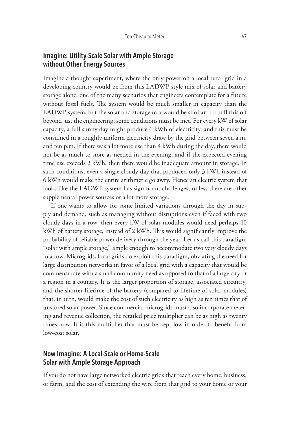# **Imagine: Utility-Scale Solar with Ample Storage without Other Energy Sources**

Imagine a thought experiment, where the only power on a local rural grid in a developing country would be from this LADWP style mix of solar and battery storage alone, one of the many scenarios that engineers contemplate for a future without fossil fuels. The system would be much smaller in capacity than the LADWP system, but the solar and storage mix would be similar. To pull this off beyond just the engineering, some conditions must be met. For every kW of solar capacity, a full sunny day might produce 6 kWh of electricity, and this must be consumed in a roughly uniform electricity draw by the grid between seven a.m. and ten p.m. If there was a lot more use than 4 kWh during the day, there would not be as much to store as needed in the evening, and if the expected evening time use exceeds 2 kWh, then there would be inadequate amount in storage. In such conditions, even a single cloudy day that produced only 3 kWh instead of 6 kWh would make the entire arithmetic go awry. Hence an electric system that looks like the LADWP system has significant challenges, unless there are other supplemental power sources or a lot more storage.

If one wants to allow for some limited variations through the day in supply and demand, such as managing without disruptions even if faced with two cloudy days in a row, then every kW of solar modules would need perhaps 10 kWh of battery storage, instead of 2 kWh. This would significantly improve the probability of reliable power delivery through the year. Let us call this paradigm "solar with ample storage," ample enough to accommodate two very cloudy days in a row. Microgrids, local grids do exploit this paradigm, obviating the need for large distribution networks in favor of a local grid with a capacity that would be commensurate with a small community need as opposed to that of a large city or a region in a country. It is the larger proportion of storage, associated circuitry, and the shorter lifetime of the battery (compared to lifetime of solar modules) that, in turn, would make the cost of such electricity as high as ten times that of unstored solar power. Since commercial microgrids must also incorporate metering and revenue collection, the retailed price multiplier can be as high as twenty times now. It is this multiplier that must be kept low in order to benefit from low-cost solar.

# **Now Imagine: A Local-Scale or Home-Scale Solar with Ample Storage Approach**

If you do not have large networked electric grids that reach every home, business, or farm, and the cost of extending the wire from that grid to your home or your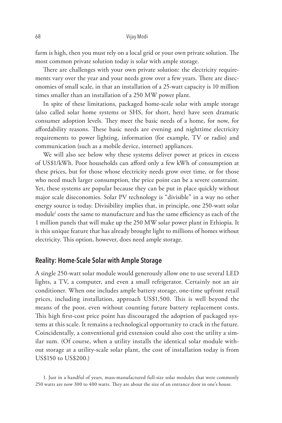farm is high, then you must rely on a local grid or your own private solution. The most common private solution today is solar with ample storage.

There are challenges with your own private solution: the electricity requirements vary over the year and your needs grow over a few years. There are diseconomies of small scale, in that an installation of a 25-watt capacity is 10 million times smaller than an installation of a 250 MW power plant.

In spite of these limitations, packaged home-scale solar with ample storage (also called solar home systems or SHS, for short, here) have seen dramatic consumer adoption levels. They meet the basic needs of a home, for now, for affordability reasons. These basic needs are evening and nighttime electricity requirements to power lighting, information (for example, TV or radio) and communication (such as a mobile device, internet) appliances.

We will also see below why these systems deliver power at prices in excess of US\$1/kWh. Poor households can afford only a few kWh of consumption at these prices, but for those whose electricity needs grow over time, or for those who need much larger consumption, the price point can be a severe constraint. Yet, these systems are popular because they can be put in place quickly without major scale diseconomies. Solar PV technology is "divisible" in a way no other energy source is today. Divisibility implies that, in principle, one 250-watt solar module<sup>1</sup> costs the same to manufacture and has the same efficiency as each of the 1 million panels that will make up the 250 MW solar power plant in Ethiopia. It is this unique feature that has already brought light to millions of homes without electricity. This option, however, does need ample storage.

## **Reality: Home-Scale Solar with Ample Storage**

A single 250-watt solar module would generously allow one to use several LED lights, a TV, a computer, and even a small refrigerator. Certainly not an air conditioner. When one includes ample battery storage, one-time upfront retail prices, including installation, approach US\$1,500. This is well beyond the means of the poor, even without counting future battery replacement costs. This high first-cost price point has discouraged the adoption of packaged systems at this scale. It remains a technological opportunity to crack in the future. Coincidentally, a conventional grid extension could also cost the utility a similar sum. (Of course, when a utility installs the identical solar module without storage at a utility-scale solar plant, the cost of installation today is from US\$150 to US\$200.)

<sup>1.</sup> Just in a handful of years, mass-manufactured full-size solar modules that were commonly 250 watts are now 300 to 400 watts. They are about the size of an entrance door in one's house.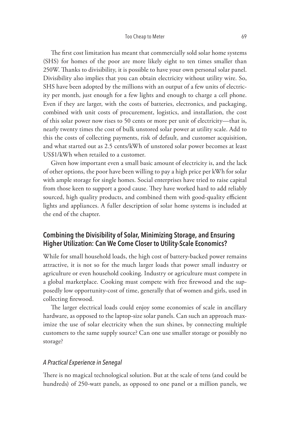The first cost limitation has meant that commercially sold solar home systems (SHS) for homes of the poor are more likely eight to ten times smaller than 250W. Thanks to divisibility, it is possible to have your own personal solar panel. Divisibility also implies that you can obtain electricity without utility wire. So, SHS have been adopted by the millions with an output of a few units of electricity per month, just enough for a few lights and enough to charge a cell phone. Even if they are larger, with the costs of batteries, electronics, and packaging, combined with unit costs of procurement, logistics, and installation, the cost of this solar power now rises to 50 cents or more per unit of electricity—that is, nearly twenty times the cost of bulk unstored solar power at utility scale. Add to this the costs of collecting payments, risk of default, and customer acquisition, and what started out as 2.5 cents/kWh of unstored solar power becomes at least US\$1/kWh when retailed to a customer.

Given how important even a small basic amount of electricity is, and the lack of other options, the poor have been willing to pay a high price per kWh for solar with ample storage for single homes. Social enterprises have tried to raise capital from those keen to support a good cause. They have worked hard to add reliably sourced, high quality products, and combined them with good-quality efficient lights and appliances. A fuller description of solar home systems is included at the end of the chapter.

# **Combining the Divisibility of Solar, Minimizing Storage, and Ensuring Higher Utilization: Can We Come Closer to Utility-Scale Economics?**

While for small household loads, the high cost of battery-backed power remains attractive, it is not so for the much larger loads that power small industry or agriculture or even household cooking. Industry or agriculture must compete in a global marketplace. Cooking must compete with free firewood and the supposedly low opportunity-cost of time, generally that of women and girls, used in collecting firewood.

The larger electrical loads could enjoy some economies of scale in ancillary hardware, as opposed to the laptop-size solar panels. Can such an approach maximize the use of solar electricity when the sun shines, by connecting multiple customers to the same supply source? Can one use smaller storage or possibly no storage?

#### *A Practical Experience in Senegal*

There is no magical technological solution. But at the scale of tens (and could be hundreds) of 250-watt panels, as opposed to one panel or a million panels, we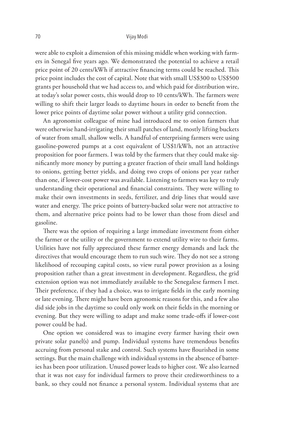were able to exploit a dimension of this missing middle when working with farmers in Senegal five years ago. We demonstrated the potential to achieve a retail price point of 20 cents/kWh if attractive financing terms could be reached. This price point includes the cost of capital. Note that with small US\$300 to US\$500 grants per household that we had access to, and which paid for distribution wire, at today's solar power costs, this would drop to 10 cents/kWh. The farmers were willing to shift their larger loads to daytime hours in order to benefit from the lower price points of daytime solar power without a utility grid connection.

An agronomist colleague of mine had introduced me to onion farmers that were otherwise hand-irrigating their small patches of land, mostly lifting buckets of water from small, shallow wells. A handful of enterprising farmers were using gasoline-powered pumps at a cost equivalent of US\$1/kWh, not an attractive proposition for poor farmers. I was told by the farmers that they could make significantly more money by putting a greater fraction of their small land holdings to onions, getting better yields, and doing two crops of onions per year rather than one, if lower-cost power was available. Listening to farmers was key to truly understanding their operational and financial constraints. They were willing to make their own investments in seeds, fertilizer, and drip lines that would save water and energy. The price points of battery-backed solar were not attractive to them, and alternative price points had to be lower than those from diesel and gasoline.

There was the option of requiring a large immediate investment from either the farmer or the utility or the government to extend utility wire to their farms. Utilities have not fully appreciated these farmer energy demands and lack the directives that would encourage them to run such wire. They do not see a strong likelihood of recouping capital costs, so view rural power provision as a losing proposition rather than a great investment in development. Regardless, the grid extension option was not immediately available to the Senegalese farmers I met. Their preference, if they had a choice, was to irrigate fields in the early morning or late evening. There might have been agronomic reasons for this, and a few also did side jobs in the daytime so could only work on their fields in the morning or evening. But they were willing to adapt and make some trade-offs if lower-cost power could be had.

One option we considered was to imagine every farmer having their own private solar panel(s) and pump. Individual systems have tremendous benefits accruing from personal stake and control. Such systems have flourished in some settings. But the main challenge with individual systems in the absence of batteries has been poor utilization. Unused power leads to higher cost. We also learned that it was not easy for individual farmers to prove their creditworthiness to a bank, so they could not finance a personal system. Individual systems that are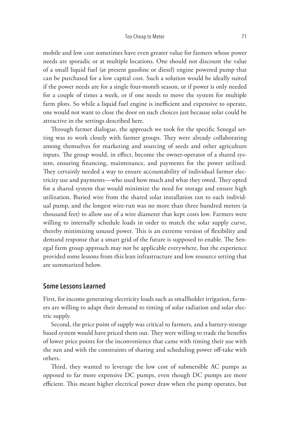mobile and low cost sometimes have even greater value for farmers whose power needs are sporadic or at multiple locations. One should not discount the value of a small liquid fuel (at present gasoline or diesel) engine powered pump that can be purchased for a low capital cost. Such a solution would be ideally suited if the power needs are for a single four-month season, or if power is only needed for a couple of times a week, or if one needs to move the system for multiple farm plots. So while a liquid fuel engine is inefficient and expensive to operate, one would not want to close the door on such choices just because solar could be attractive in the settings described here.

Through farmer dialogue, the approach we took for the specific Senegal setting was to work closely with farmer groups. They were already collaborating among themselves for marketing and sourcing of seeds and other agriculture inputs. The group would, in effect, become the owner-operator of a shared system, ensuring financing, maintenance, and payments for the power utilized. They certainly needed a way to ensure accountability of individual farmer electricity use and payments—who used how much and what they owed. They opted for a shared system that would minimize the need for storage and ensure high utilization. Buried wire from the shared solar installation ran to each individual pump, and the longest wire-run was no more than three hundred meters (a thousand feet) to allow use of a wire diameter that kept costs low. Farmers were willing to internally schedule loads in order to match the solar supply curve, thereby minimizing unused power. This is an extreme version of flexibility and demand response that a smart grid of the future is supposed to enable. The Senegal farm group approach may not be applicable everywhere, but the experience provided some lessons from this lean infrastructure and low resource setting that are summarized below.

#### **Some Lessons Learned**

First, for income generating electricity loads such as smallholder irrigation, farmers are willing to adapt their demand to timing of solar radiation and solar electric supply.

Second, the price point of supply was critical to farmers, and a battery-storage based system would have priced them out. They were willing to trade the benefits of lower price points for the inconvenience that came with timing their use with the sun and with the constraints of sharing and scheduling power off-take with others.

Third, they wanted to leverage the low cost of submersible AC pumps as opposed to far more expensive DC pumps, even though DC pumps are more efficient. This meant higher electrical power draw when the pump operates, but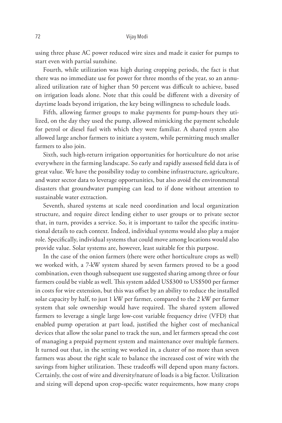using three phase AC power reduced wire sizes and made it easier for pumps to start even with partial sunshine.

Fourth, while utilization was high during cropping periods, the fact is that there was no immediate use for power for three months of the year, so an annualized utilization rate of higher than 50 percent was difficult to achieve, based on irrigation loads alone. Note that this could be different with a diversity of daytime loads beyond irrigation, the key being willingness to schedule loads.

Fifth, allowing farmer groups to make payments for pump-hours they utilized, on the day they used the pump, allowed mimicking the payment schedule for petrol or diesel fuel with which they were familiar. A shared system also allowed large anchor farmers to initiate a system, while permitting much smaller farmers to also join.

Sixth, such high-return irrigation opportunities for horticulture do not arise everywhere in the farming landscape. So early and rapidly assessed field data is of great value. We have the possibility today to combine infrastructure, agriculture, and water sector data to leverage opportunities, but also avoid the environmental disasters that groundwater pumping can lead to if done without attention to sustainable water extraction.

Seventh, shared systems at scale need coordination and local organization structure, and require direct lending either to user groups or to private sector that, in turn, provides a service. So, it is important to tailor the specific institutional details to each context. Indeed, individual systems would also play a major role. Specifically, individual systems that could move among locations would also provide value. Solar systems are, however, least suitable for this purpose.

In the case of the onion farmers (there were other horticulture crops as well) we worked with, a 7-kW system shared by seven farmers proved to be a good combination, even though subsequent use suggested sharing among three or four farmers could be viable as well. This system added US\$300 to US\$500 per farmer in costs for wire extension, but this was offset by an ability to reduce the installed solar capacity by half, to just 1 kW per farmer, compared to the 2 kW per farmer system that sole ownership would have required. The shared system allowed farmers to leverage a single large low-cost variable frequency drive (VFD) that enabled pump operation at part load, justified the higher cost of mechanical devices that allow the solar panel to track the sun, and let farmers spread the cost of managing a prepaid payment system and maintenance over multiple farmers. It turned out that, in the setting we worked in, a cluster of no more than seven farmers was about the right scale to balance the increased cost of wire with the savings from higher utilization. These tradeoffs will depend upon many factors. Certainly, the cost of wire and diversity/nature of loads is a big factor. Utilization and sizing will depend upon crop-specific water requirements, how many crops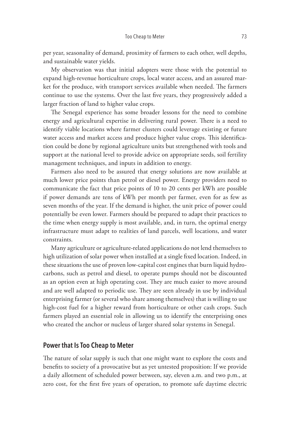per year, seasonality of demand, proximity of farmers to each other, well depths, and sustainable water yields.

My observation was that initial adopters were those with the potential to expand high-revenue horticulture crops, local water access, and an assured market for the produce, with transport services available when needed. The farmers continue to use the systems. Over the last five years, they progressively added a larger fraction of land to higher value crops.

The Senegal experience has some broader lessons for the need to combine energy and agricultural expertise in delivering rural power. There is a need to identify viable locations where farmer clusters could leverage existing or future water access and market access and produce higher value crops. This identification could be done by regional agriculture units but strengthened with tools and support at the national level to provide advice on appropriate seeds, soil fertility management techniques, and inputs in addition to energy.

Farmers also need to be assured that energy solutions are now available at much lower price points than petrol or diesel power. Energy providers need to communicate the fact that price points of 10 to 20 cents per kWh are possible if power demands are tens of kWh per month per farmer, even for as few as seven months of the year. If the demand is higher, the unit price of power could potentially be even lower. Farmers should be prepared to adapt their practices to the time when energy supply is most available, and, in turn, the optimal energy infrastructure must adapt to realities of land parcels, well locations, and water constraints.

Many agriculture or agriculture-related applications do not lend themselves to high utilization of solar power when installed at a single fixed location. Indeed, in these situations the use of proven low-capital cost engines that burn liquid hydrocarbons, such as petrol and diesel, to operate pumps should not be discounted as an option even at high operating cost. They are much easier to move around and are well adapted to periodic use. They are seen already in use by individual enterprising farmer (or several who share among themselves) that is willing to use high-cost fuel for a higher reward from horticulture or other cash crops. Such farmers played an essential role in allowing us to identify the enterprising ones who created the anchor or nucleus of larger shared solar systems in Senegal.

#### **Power that Is Too Cheap to Meter**

The nature of solar supply is such that one might want to explore the costs and benefits to society of a provocative but as yet untested proposition: If we provide a daily allotment of scheduled power between, say, eleven a.m. and two p.m., at zero cost, for the first five years of operation, to promote safe daytime electric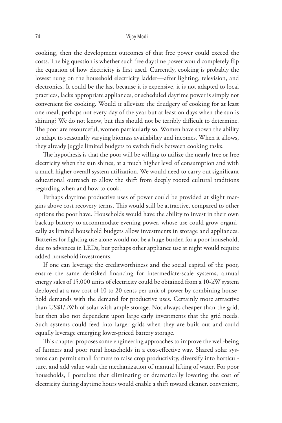cooking, then the development outcomes of that free power could exceed the costs. The big question is whether such free daytime power would completely flip the equation of how electricity is first used. Currently, cooking is probably the lowest rung on the household electricity ladder—after lighting, television, and electronics. It could be the last because it is expensive, it is not adapted to local practices, lacks appropriate appliances, or scheduled daytime power is simply not convenient for cooking. Would it alleviate the drudgery of cooking for at least one meal, perhaps not every day of the year but at least on days when the sun is shining? We do not know, but this should not be terribly difficult to determine. The poor are resourceful, women particularly so. Women have shown the ability to adapt to seasonally varying biomass availability and incomes. When it allows, they already juggle limited budgets to switch fuels between cooking tasks.

The hypothesis is that the poor will be willing to utilize the nearly free or free electricity when the sun shines, at a much higher level of consumption and with a much higher overall system utilization. We would need to carry out significant educational outreach to allow the shift from deeply rooted cultural traditions regarding when and how to cook.

Perhaps daytime productive uses of power could be provided at slight margins above cost recovery terms. This would still be attractive, compared to other options the poor have. Households would have the ability to invest in their own backup battery to accommodate evening power, whose use could grow organically as limited household budgets allow investments in storage and appliances. Batteries for lighting use alone would not be a huge burden for a poor household, due to advances in LEDs, but perhaps other appliance use at night would require added household investments.

If one can leverage the creditworthiness and the social capital of the poor, ensure the same de-risked financing for intermediate-scale systems, annual energy sales of 15,000 units of electricity could be obtained from a 10-kW system deployed at a raw cost of 10 to 20 cents per unit of power by combining household demands with the demand for productive uses. Certainly more attractive than US\$1/kWh of solar with ample storage. Not always cheaper than the grid, but then also not dependent upon large early investments that the grid needs. Such systems could feed into larger grids when they are built out and could equally leverage emerging lower-priced battery storage.

This chapter proposes some engineering approaches to improve the well-being of farmers and poor rural households in a cost-effective way. Shared solar systems can permit small farmers to raise crop productivity, diversify into horticulture, and add value with the mechanization of manual lifting of water. For poor households, I postulate that eliminating or dramatically lowering the cost of electricity during daytime hours would enable a shift toward cleaner, convenient,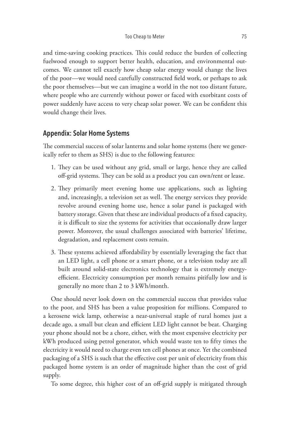and time-saving cooking practices. This could reduce the burden of collecting fuelwood enough to support better health, education, and environmental outcomes. We cannot tell exactly how cheap solar energy would change the lives of the poor—we would need carefully constructed field work, or perhaps to ask the poor themselves—but we can imagine a world in the not too distant future, where people who are currently without power or faced with exorbitant costs of power suddenly have access to very cheap solar power. We can be confident this would change their lives.

## **Appendix: Solar Home Systems**

The commercial success of solar lanterns and solar home systems (here we generically refer to them as SHS) is due to the following features:

- 1. They can be used without any grid, small or large, hence they are called off-grid systems. They can be sold as a product you can own/rent or lease.
- 2. They primarily meet evening home use applications, such as lighting and, increasingly, a television set as well. The energy services they provide revolve around evening home use, hence a solar panel is packaged with battery storage. Given that these are individual products of a fixed capacity, it is difficult to size the systems for activities that occasionally draw larger power. Moreover, the usual challenges associated with batteries' lifetime, degradation, and replacement costs remain.
- 3. These systems achieved affordability by essentially leveraging the fact that an LED light, a cell phone or a smart phone, or a television today are all built around solid-state electronics technology that is extremely energyefficient. Electricity consumption per month remains pitifully low and is generally no more than 2 to 3 kWh/month.

One should never look down on the commercial success that provides value to the poor, and SHS has been a value proposition for millions. Compared to a kerosene wick lamp, otherwise a near-universal staple of rural homes just a decade ago, a small but clean and efficient LED light cannot be beat. Charging your phone should not be a chore, either, with the most expensive electricity per kWh produced using petrol generator, which would waste ten to fifty times the electricity it would need to charge even ten cell phones at once. Yet the combined packaging of a SHS is such that the effective cost per unit of electricity from this packaged home system is an order of magnitude higher than the cost of grid supply.

To some degree, this higher cost of an off-grid supply is mitigated through